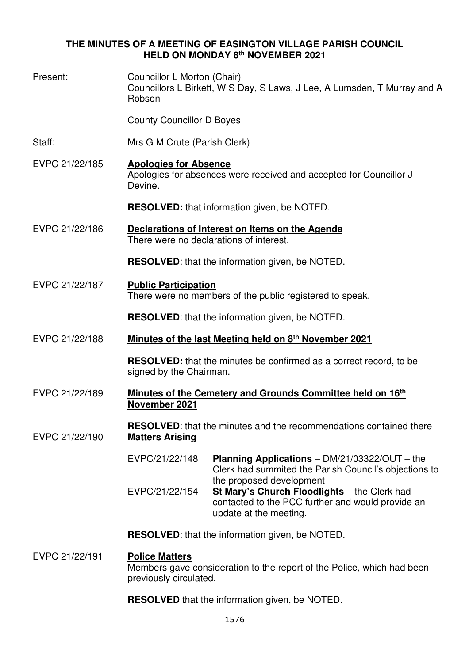# **THE MINUTES OF A MEETING OF EASINGTON VILLAGE PARISH COUNCIL HELD ON MONDAY 8th NOVEMBER 2021**

| Present:       | Councillor L Morton (Chair)<br>Councillors L Birkett, W S Day, S Laws, J Lee, A Lumsden, T Murray and A<br>Robson                                                         |  |
|----------------|---------------------------------------------------------------------------------------------------------------------------------------------------------------------------|--|
|                | <b>County Councillor D Boyes</b>                                                                                                                                          |  |
| Staff:         | Mrs G M Crute (Parish Clerk)                                                                                                                                              |  |
| EVPC 21/22/185 | <b>Apologies for Absence</b><br>Apologies for absences were received and accepted for Councillor J<br>Devine.                                                             |  |
|                | <b>RESOLVED:</b> that information given, be NOTED.                                                                                                                        |  |
| EVPC 21/22/186 | Declarations of Interest on Items on the Agenda<br>There were no declarations of interest.                                                                                |  |
|                | <b>RESOLVED:</b> that the information given, be NOTED.                                                                                                                    |  |
| EVPC 21/22/187 | <b>Public Participation</b><br>There were no members of the public registered to speak.                                                                                   |  |
|                | <b>RESOLVED:</b> that the information given, be NOTED.                                                                                                                    |  |
| EVPC 21/22/188 | Minutes of the last Meeting held on 8th November 2021                                                                                                                     |  |
|                | <b>RESOLVED:</b> that the minutes be confirmed as a correct record, to be<br>signed by the Chairman.                                                                      |  |
| EVPC 21/22/189 | Minutes of the Cemetery and Grounds Committee held on 16th<br>November 2021                                                                                               |  |
| EVPC 21/22/190 | <b>RESOLVED:</b> that the minutes and the recommendations contained there<br><b>Matters Arising</b>                                                                       |  |
|                | EVPC/21/22/148<br><b>Planning Applications</b> $-$ DM/21/03322/OUT $-$ the<br>Clerk had summited the Parish Council's objections to                                       |  |
|                | the proposed development<br>EVPC/21/22/154<br>St Mary's Church Floodlights - the Clerk had<br>contacted to the PCC further and would provide an<br>update at the meeting. |  |
|                | <b>RESOLVED:</b> that the information given, be NOTED.                                                                                                                    |  |
| EVPC 21/22/191 | <b>Police Matters</b><br>Members gave consideration to the report of the Police, which had been<br>previously circulated.                                                 |  |
|                | <b>RESOLVED</b> that the information given, be NOTED.                                                                                                                     |  |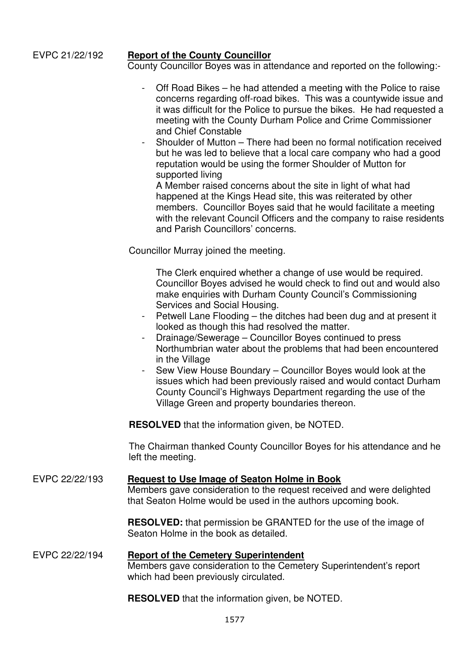### EVPC 21/22/192 **Report of the County Councillor**

County Councillor Boyes was in attendance and reported on the following:-

- Off Road Bikes he had attended a meeting with the Police to raise concerns regarding off-road bikes. This was a countywide issue and it was difficult for the Police to pursue the bikes. He had requested a meeting with the County Durham Police and Crime Commissioner and Chief Constable
- Shoulder of Mutton There had been no formal notification received but he was led to believe that a local care company who had a good reputation would be using the former Shoulder of Mutton for supported living

A Member raised concerns about the site in light of what had happened at the Kings Head site, this was reiterated by other members. Councillor Boyes said that he would facilitate a meeting with the relevant Council Officers and the company to raise residents and Parish Councillors' concerns.

Councillor Murray joined the meeting.

 The Clerk enquired whether a change of use would be required. Councillor Boyes advised he would check to find out and would also make enquiries with Durham County Council's Commissioning Services and Social Housing.

- Petwell Lane Flooding the ditches had been dug and at present it looked as though this had resolved the matter.
- Drainage/Sewerage Councillor Boyes continued to press Northumbrian water about the problems that had been encountered in the Village
- Sew View House Boundary Councillor Boyes would look at the issues which had been previously raised and would contact Durham County Council's Highways Department regarding the use of the Village Green and property boundaries thereon.

**RESOLVED** that the information given, be NOTED.

The Chairman thanked County Councillor Boyes for his attendance and he left the meeting.

## EVPC 22/22/193 **Request to Use Image of Seaton Holme in Book**

Members gave consideration to the request received and were delighted that Seaton Holme would be used in the authors upcoming book.

**RESOLVED:** that permission be GRANTED for the use of the image of Seaton Holme in the book as detailed.

#### EVPC 22/22/194 **Report of the Cemetery Superintendent** Members gave consideration to the Cemetery Superintendent's report which had been previously circulated.

**RESOLVED** that the information given, be NOTED.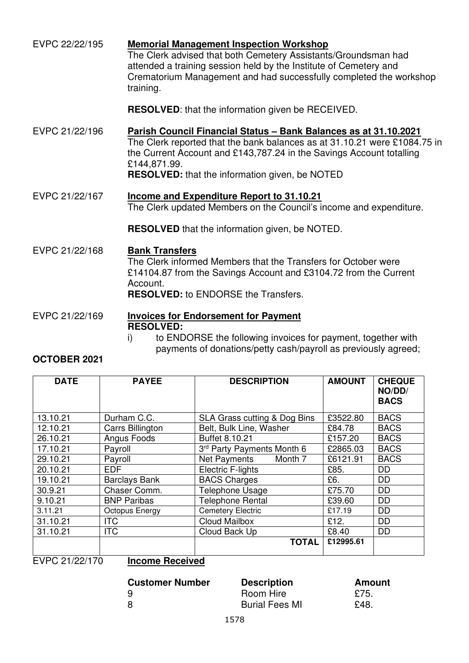| EVPC 22/22/195 | <b>Memorial Management Inspection Workshop</b><br>The Clerk advised that both Cemetery Assistants/Groundsman had<br>attended a training session held by the Institute of Cemetery and<br>Crematorium Management and had successfully completed the workshop<br>training.                       |
|----------------|------------------------------------------------------------------------------------------------------------------------------------------------------------------------------------------------------------------------------------------------------------------------------------------------|
|                | <b>RESOLVED:</b> that the information given be RECEIVED.                                                                                                                                                                                                                                       |
| EVPC 21/22/196 | Parish Council Financial Status - Bank Balances as at 31.10.2021<br>The Clerk reported that the bank balances as at 31.10.21 were £1084.75 in<br>the Current Account and £143,787.24 in the Savings Account totalling<br>£144,871.99.<br><b>RESOLVED:</b> that the information given, be NOTED |
| EVPC 21/22/167 | Income and Expenditure Report to 31.10.21<br>The Clerk updated Members on the Council's income and expenditure.                                                                                                                                                                                |
|                | <b>RESOLVED</b> that the information given, be NOTED.                                                                                                                                                                                                                                          |
| EVPC 21/22/168 | <b>Bank Transfers</b><br>The Clerk informed Members that the Transfers for October were<br>£14104.87 from the Savings Account and £3104.72 from the Current<br>Account.<br><b>RESOLVED:</b> to ENDORSE the Transfers.                                                                          |
| EVPC 21/22/169 | <b>Invoices for Endorsement for Payment</b><br><b>RESOLVED:</b>                                                                                                                                                                                                                                |

i) to ENDORSE the following invoices for payment, together with payments of donations/petty cash/payroll as previously agreed;

# **OCTOBER 2021**

| <b>DATE</b> | <b>PAYEE</b>         | <b>DESCRIPTION</b>           | <b>AMOUNT</b> | <b>CHEQUE</b><br>NO/DD/<br><b>BACS</b> |
|-------------|----------------------|------------------------------|---------------|----------------------------------------|
| 13.10.21    | Durham C.C.          | SLA Grass cutting & Dog Bins | £3522.80      | <b>BACS</b>                            |
| 12.10.21    | Carrs Billington     | Belt, Bulk Line, Washer      | £84.78        | <b>BACS</b>                            |
| 26.10.21    | Angus Foods          | Buffet 8.10.21               | £157.20       | <b>BACS</b>                            |
| 17.10.21    | Payroll              | 3rd Party Payments Month 6   | £2865.03      | <b>BACS</b>                            |
| 29.10.21    | Payroll              | Net Payments<br>Month 7      | £6121.91      | <b>BACS</b>                            |
| 20.10.21    | <b>EDF</b>           | Electric F-lights            | £85.          | <b>DD</b>                              |
| 19.10.21    | <b>Barclays Bank</b> | <b>BACS Charges</b>          | £6.           | <b>DD</b>                              |
| 30.9.21     | Chaser Comm.         | <b>Telephone Usage</b>       | £75.70        | <b>DD</b>                              |
| 9.10.21     | <b>BNP Paribas</b>   | <b>Telephone Rental</b>      | £39.60        | <b>DD</b>                              |
| 3.11.21     | Octopus Energy       | <b>Cemetery Electric</b>     | £17.19        | <b>DD</b>                              |
| 31.10.21    | <b>ITC</b>           | Cloud Mailbox                | £12.          | <b>DD</b>                              |
| 31.10.21    | <b>ITC</b>           | Cloud Back Up                | £8.40         | <b>DD</b>                              |
|             |                      | <b>TOTAL</b>                 | £12995.61     |                                        |

EVPC 21/22/170 **Income Received** 

| <b>Customer Number</b> | <b>Description</b>    | Amount |
|------------------------|-----------------------|--------|
| -9                     | Room Hire             | £75.   |
|                        | <b>Burial Fees MI</b> | £48.   |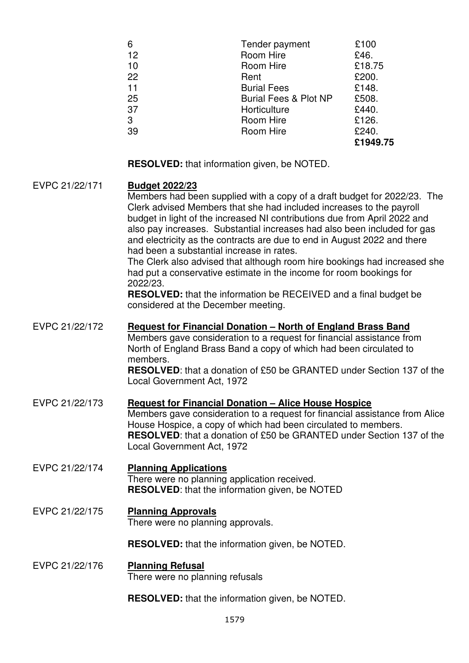| 6  | Tender payment                   | £100     |
|----|----------------------------------|----------|
| 12 | Room Hire                        | £46.     |
| 10 | Room Hire                        | £18.75   |
| 22 | Rent                             | £200.    |
| 11 | <b>Burial Fees</b>               | £148.    |
| 25 | <b>Burial Fees &amp; Plot NP</b> | £508.    |
| 37 | Horticulture                     | £440.    |
| 3  | Room Hire                        | £126.    |
| 39 | Room Hire                        | £240.    |
|    |                                  | £1949.75 |

**RESOLVED:** that information given, be NOTED.

# EVPC 21/22/171 **Budget 2022/23** Members had been supplied with a copy of a draft budget for 2022/23. The Clerk advised Members that she had included increases to the payroll budget in light of the increased NI contributions due from April 2022 and also pay increases. Substantial increases had also been included for gas and electricity as the contracts are due to end in August 2022 and there had been a substantial increase in rates. The Clerk also advised that although room hire bookings had increased she had put a conservative estimate in the income for room bookings for 2022/23. **RESOLVED:** that the information be RECEIVED and a final budget be considered at the December meeting. EVPC 21/22/172 **Request for Financial Donation – North of England Brass Band** Members gave consideration to a request for financial assistance from North of England Brass Band a copy of which had been circulated to members. **RESOLVED**: that a donation of £50 be GRANTED under Section 137 of the Local Government Act, 1972 EVPC 21/22/173 **Request for Financial Donation – Alice House Hospice** Members gave consideration to a request for financial assistance from Alice House Hospice, a copy of which had been circulated to members. **RESOLVED**: that a donation of £50 be GRANTED under Section 137 of the Local Government Act, 1972 EVPC 21/22/174 **Planning Applications**  There were no planning application received. **RESOLVED**: that the information given, be NOTED EVPC 21/22/175 **Planning Approvals**  There were no planning approvals. **RESOLVED:** that the information given, be NOTED. EVPC 21/22/176 **Planning Refusal**  There were no planning refusals

**RESOLVED:** that the information given, be NOTED.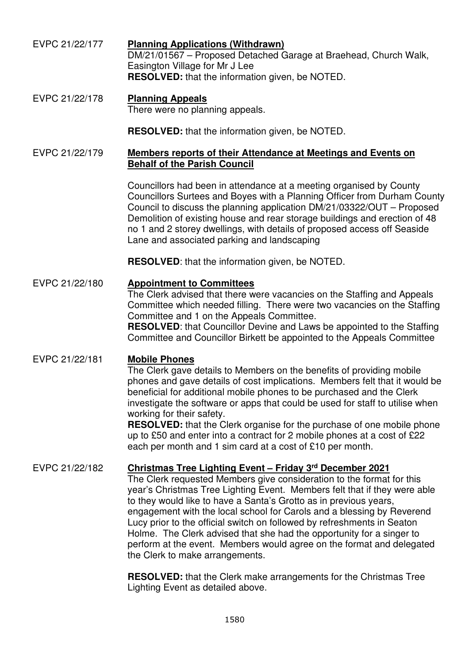- EVPC 21/22/177 **Planning Applications (Withdrawn)**  DM/21/01567 – Proposed Detached Garage at Braehead, Church Walk, Easington Village for Mr J Lee **RESOLVED:** that the information given, be NOTED.
- EVPC 21/22/178 **Planning Appeals**  There were no planning appeals.

**RESOLVED:** that the information given, be NOTED.

## EVPC 21/22/179 **Members reports of their Attendance at Meetings and Events on Behalf of the Parish Council**

Councillors had been in attendance at a meeting organised by County Councillors Surtees and Boyes with a Planning Officer from Durham County Council to discuss the planning application DM/21/03322/OUT – Proposed Demolition of existing house and rear storage buildings and erection of 48 no 1 and 2 storey dwellings, with details of proposed access off Seaside Lane and associated parking and landscaping

**RESOLVED**: that the information given, be NOTED.

# EVPC 21/22/180 **Appointment to Committees**

The Clerk advised that there were vacancies on the Staffing and Appeals Committee which needed filling. There were two vacancies on the Staffing Committee and 1 on the Appeals Committee.

**RESOLVED**: that Councillor Devine and Laws be appointed to the Staffing Committee and Councillor Birkett be appointed to the Appeals Committee

# EVPC 21/22/181 **Mobile Phones**

The Clerk gave details to Members on the benefits of providing mobile phones and gave details of cost implications. Members felt that it would be beneficial for additional mobile phones to be purchased and the Clerk investigate the software or apps that could be used for staff to utilise when working for their safety.

**RESOLVED:** that the Clerk organise for the purchase of one mobile phone up to £50 and enter into a contract for 2 mobile phones at a cost of £22 each per month and 1 sim card at a cost of £10 per month.

# EVPC 21/22/182 **Christmas Tree Lighting Event – Friday 3rd December 2021**

The Clerk requested Members give consideration to the format for this year's Christmas Tree Lighting Event. Members felt that if they were able to they would like to have a Santa's Grotto as in previous years, engagement with the local school for Carols and a blessing by Reverend Lucy prior to the official switch on followed by refreshments in Seaton Holme. The Clerk advised that she had the opportunity for a singer to perform at the event. Members would agree on the format and delegated the Clerk to make arrangements.

**RESOLVED:** that the Clerk make arrangements for the Christmas Tree Lighting Event as detailed above.